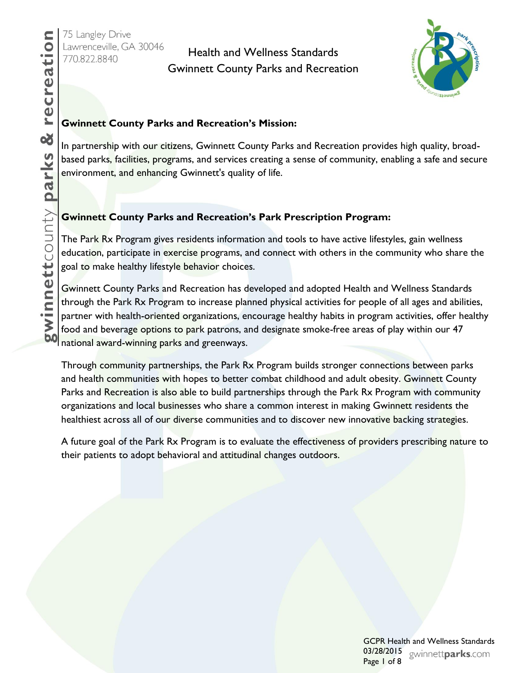# Health and Wellness Standards Gwinnett County Parks and Recreation



#### **Gwinnett County Parks and Recreation's Mission:**

In partnership with our citizens, Gwinnett County Parks and Recreation provides high quality, broadbased parks, facilities, programs, and services creating a sense of community, enabling a safe and secure environment, and enhancing Gwinnett's quality of life.

#### **Gwinnett County Parks and Recreation's Park Prescription Program:**

The Park Rx Program gives residents information and tools to have active lifestyles, gain wellness education, participate in exercise programs, and connect with others in the community who share the goal to make healthy lifestyle behavior choices.

Gwinnett County Parks and Recreation has developed and adopted Health and Wellness Standards through the Park Rx Program to increase planned physical activities for people of all ages and abilities, partner with health-oriented organizations, encourage healthy habits in program activities, offer healthy food and beverage options to park patrons, and designate smoke-free areas of play within our 47 national award-winning parks and greenways.

Through community partnerships, the Park Rx Program builds stronger connections between parks and health communities with hopes to better combat childhood and adult obesity. Gwinnett County Parks and Recreation is also able to build partnerships through the Park Rx Program with community organizations and local businesses who share a common interest in making Gwinnett residents the healthiest across all of our diverse communities and to discover new innovative backing strategies.

A future goal of the Park Rx Program is to evaluate the effectiveness of providers prescribing nature to their patients to adopt behavioral and attitudinal changes outdoors.

> GCPR Health and Wellness Standards 03/28/2015 gwinnettparks.com Page 1 of 8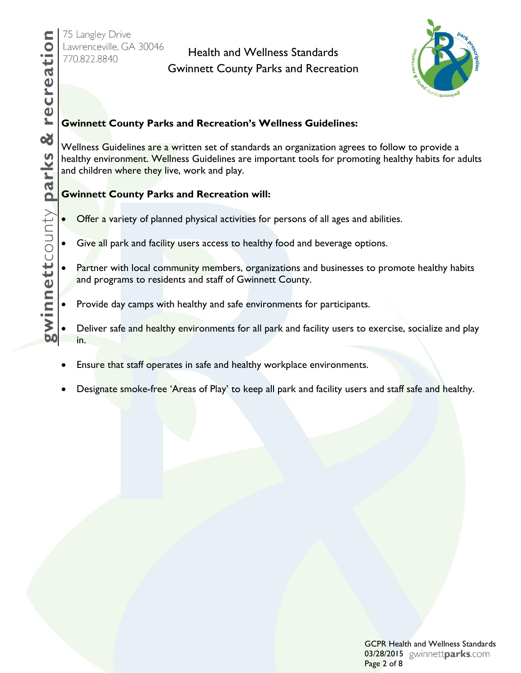# Health and Wellness Standards Gwinnett County Parks and Recreation



#### **Gwinnett County Parks and Recreation's Wellness Guidelines:**

Wellness Guidelines are a written set of standards an organization agrees to follow to provide a healthy environment. Wellness Guidelines are important tools for promoting healthy habits for adults and children where they live, work and play.

#### **Gwinnett County Parks and Recreation will:**

- Offer a variety of planned physical activities for persons of all ages and abilities.
- Give all park and facility users access to healthy food and beverage options.
- Partner with local community members, organizations and businesses to promote healthy habits and programs to residents and staff of Gwinnett County.
- Provide day camps with healthy and safe environments for participants.
- Deliver safe and healthy environments for all park and facility users to exercise, socialize and play in.
- Ensure that staff operates in safe and healthy workplace environments.
- Designate smoke-free 'Areas of Play' to keep all park and facility users and staff safe and healthy.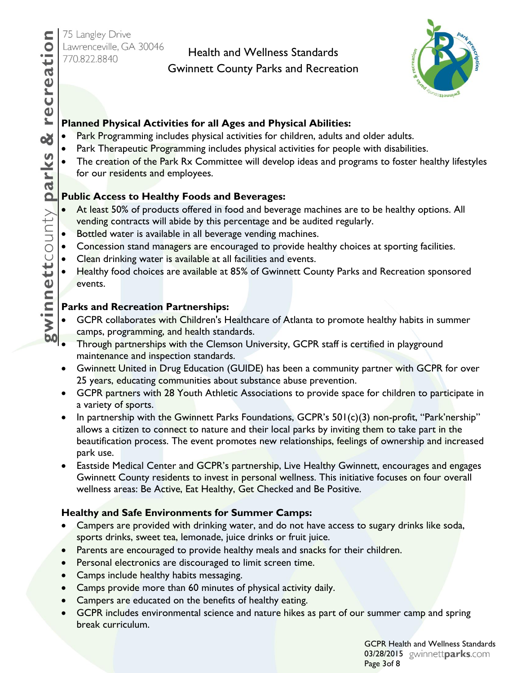## Health and Wellness Standards

Gwinnett County Parks and Recreation



#### **Planned Physical Activities for all Ages and Physical Abilities:**

- Park Programming includes physical activities for children, adults and older adults.
- Park Therapeutic Programming includes physical activities for people with disabilities.
- The creation of the Park Rx Committee will develop ideas and programs to foster healthy lifestyles for our residents and employees.

### **Public Access to Healthy Foods and Beverages:**

- At least 50% of products offered in food and beverage machines are to be healthy options. All vending contracts will abide by this percentage and be audited regularly.
- Bottled water is available in all beverage vending machines.
- Concession stand managers are encouraged to provide healthy choices at sporting facilities.
- Clean drinking water is available at all facilities and events.
- Healthy food choices are available at 85% of Gwinnett County Parks and Recreation sponsored events.

#### **Parks and Recreation Partnerships:**

- GCPR collaborates with Children's Healthcare of Atlanta to promote healthy habits in summer camps, programming, and health standards.
- Through partnerships with the Clemson University, GCPR staff is certified in playground maintenance and inspection standards.
- Gwinnett United in Drug Education (GUIDE) has been a community partner with GCPR for over 25 years, educating communities about substance abuse prevention.
- GCPR partners with 28 Youth Athletic Associations to provide space for children to participate in a variety of sports.
- In partnership with the Gwinnett Parks Foundations, GCPR's 501(c)(3) non-profit, "Park'nership" allows a citizen to connect to nature and their local parks by inviting them to take part in the beautification process. The event promotes new relationships, feelings of ownership and increased park use.
- Eastside Medical Center and GCPR's partnership, Live Healthy Gwinnett, encourages and engages Gwinnett County residents to invest in personal wellness. This initiative focuses on four overall wellness areas: Be Active, Eat Healthy, Get Checked and Be Positive.

#### **Healthy and Safe Environments for Summer Camps:**

- Campers are provided with drinking water, and do not have access to sugary drinks like soda, sports drinks, sweet tea, lemonade, juice drinks or fruit juice.
- Parents are encouraged to provide healthy meals and snacks for their children.
- **•** Personal electronics are discouraged to limit screen time.
- Camps include healthy habits messaging.
- Camps provide more than 60 minutes of physical activity daily.
- Campers are educated on the benefits of healthy eating.
- GCPR includes environmental science and nature hikes as part of our summer camp and spring break curriculum.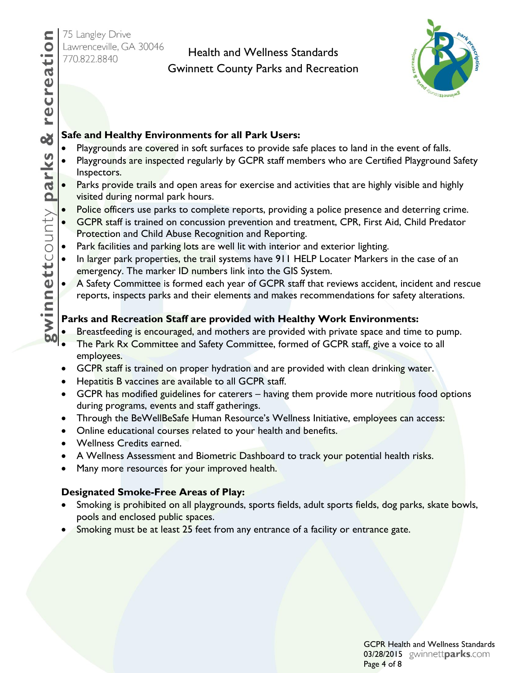recreation

œ

## Health and Wellness Standards Gwinnett County Parks and Recreation



#### **Safe and Healthy Environments for all Park Users:**

- Playgrounds are covered in soft surfaces to provide safe places to land in the event of falls.
- Playgrounds are inspected regularly by GCPR staff members who are Certified Playground Safety Inspectors.
- gwinnettcounty parks Parks provide trails and open areas for exercise and activities that are highly visible and highly visited during normal park hours.
	- Police officers use parks to complete reports, providing a police presence and deterring crime.
	- GCPR staff is trained on concussion prevention and treatment, CPR, First Aid, Child Predator Protection and Child Abuse Recognition and Reporting.
	- Park facilities and parking lots are well lit with interior and exterior lighting.
	- In larger park properties, the trail systems have 911 HELP Locater Markers in the case of an emergency. The marker ID numbers link into the GIS System.
	- A Safety Committee is formed each year of GCPR staff that reviews accident, incident and rescue reports, inspects parks and their elements and makes recommendations for safety alterations.

#### **Parks and Recreation Staff are provided with Healthy Work Environments:**

- Breastfeeding is encouraged, and mothers are provided with private space and time to pump.
- The Park Rx Committee and Safety Committee, formed of GCPR staff, give a voice to all employees.
- **GCPR** staff is trained on proper hydration and are provided with clean drinking water.
- **•** Hepatitis B vaccines are available to all GCPR staff.
- GCPR has modified guidelines for caterers having them provide more nutritious food options during programs, events and staff gatherings.
- Through the BeWellBeSafe Human Resource's Wellness Initiative, employees can access:
- Online educational courses related to your health and benefits.
- Wellness Credits earned.
- A Wellness Assessment and Biometric Dashboard to track your potential health risks.
- Many more resources for your improved health.

#### **Designated Smoke-Free Areas of Play:**

- Smoking is prohibited on all playgrounds, sports fields, adult sports fields, dog parks, skate bowls, pools and enclosed public spaces.
- Smoking must be at least 25 feet from any entrance of a facility or entrance gate.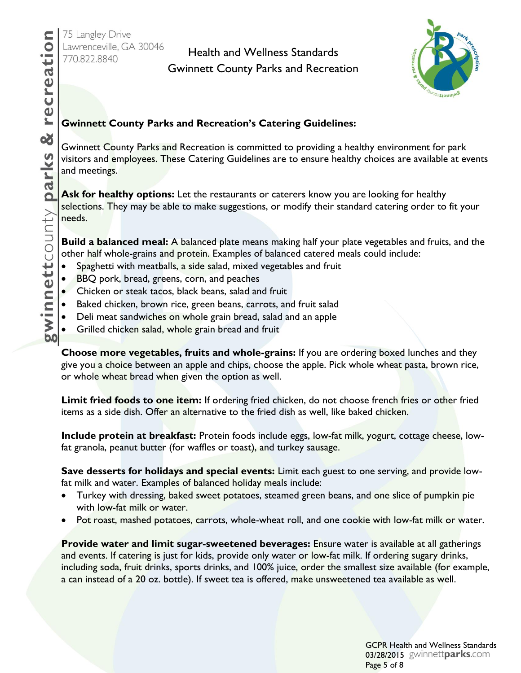# Health and Wellness Standards Gwinnett County Parks and Recreation



#### **Gwinnett County Parks and Recreation's Catering Guidelines:**

Gwinnett County Parks and Recreation is committed to providing a healthy environment for park visitors and employees. These Catering Guidelines are to ensure healthy choices are available at events and meetings.

**Ask for healthy options:** Let the restaurants or caterers know you are looking for healthy selections. They may be able to make suggestions, or modify their standard catering order to fit your needs.

**Build a balanced meal:** A balanced plate means making half your plate vegetables and fruits, and the other half whole-grains and protein. Examples of balanced catered meals could include:

- Spaghetti with meatballs, a side salad, mixed vegetables and fruit
- BBQ pork, bread, greens, corn, and peaches
- Chicken or steak tacos, black beans, salad and fruit
- Baked chicken, brown rice, green beans, carrots, and fruit salad
- Deli meat sandwiches on whole grain bread, salad and an apple
- Grilled chicken salad, whole grain bread and fruit

**Choose more vegetables, fruits and whole-grains:** If you are ordering boxed lunches and they give you a choice between an apple and chips, choose the apple. Pick whole wheat pasta, brown rice, or whole wheat bread when given the option as well.

**Limit fried foods to one item:** If ordering fried chicken, do not choose french fries or other fried items as a side dish. Offer an alternative to the fried dish as well, like baked chicken.

**Include protein at breakfast:** Protein foods include eggs, low-fat milk, yogurt, cottage cheese, lowfat granola, peanut butter (for waffles or toast), and turkey sausage.

**Save desserts for holidays and special events:** Limit each guest to one serving, and provide lowfat milk and water. Examples of balanced holiday meals include:

- Turkey with dressing, baked sweet potatoes, steamed green beans, and one slice of pumpkin pie with low-fat milk or water.
- Pot roast, mashed potatoes, carrots, whole-wheat roll, and one cookie with low-fat milk or water.

**Provide water and limit sugar-sweetened beverages:** Ensure water is available at all gatherings and events. If catering is just for kids, provide only water or low-fat milk. If ordering sugary drinks, including soda, fruit drinks, sports drinks, and 100% juice, order the smallest size available (for example, a can instead of a 20 oz. bottle). If sweet tea is offered, make unsweetened tea available as well.

> GCPR Health and Wellness Standards 03/28/2015 gwinnettparks.com Page 5 of 8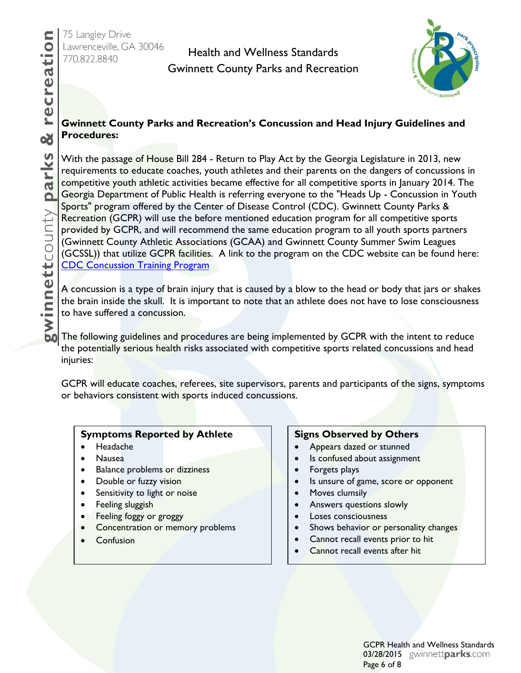## Health and Wellness Standards Gwinnett County Parks and Recreation



#### **Gwinnett County Parks and Recreation's Concussion and Head Injury Guidelines and Procedures:**

With the passage of House Bill 284 - Return to Play Act by the Georgia Legislature in 2013, new requirements to educate coaches, youth athletes and their parents on the dangers of concussions in competitive youth athletic activities became effective for all competitive sports in January 2014. The Georgia Department of Public Health is referring everyone to the "Heads Up - Concussion in Youth Sports" program offered by the Center of Disease Control (CDC). Gwinnett County Parks & Recreation (GCPR) will use the before mentioned education program for all competitive sports provided by GCPR, and will recommend the same education program to all youth sports partners (Gwinnett County Athletic Associations (GCAA) and Gwinnett County Summer Swim Leagues (GCSSL)) that utilize GCPR facilities. A link to the program on the CDC website can be found here: **[CDC Concussion Training Program](http://www.cdc.gov/concussion/headsup/online_training.html)** 

A concussion is a type of brain injury that is caused by a blow to the head or body that jars or shakes the brain inside the skull. It is important to note that an athlete does not have to lose consciousness to have suffered a concussion.

The following guidelines and procedures are being implemented by GCPR with the intent to reduce the potentially serious health risks associated with competitive sports related concussions and head injuries:

GCPR will educate coaches, referees, site supervisors, parents and participants of the signs, symptoms or behaviors consistent with sports induced concussions.

#### **Symptoms Reported by Athlete**

- Headache
- Nausea
- Balance problems or dizziness
- Double or fuzzy vision
- Sensitivity to light or noise
- Feeling sluggish
- Feeling foggy or groggy
- Concentration or memory problems
- Confusion

#### **Signs Observed by Others**

- Appears dazed or stunned
- Is confused about assignment
- Forgets plays
- Is unsure of game, score or opponent
- Moves clumsily
- **•** Answers questions slowly
- Loses consciousness
- Shows behavior or personality changes
- Cannot recall events prior to hit
- Cannot recall events after hit

GCPR Health and Wellness Standards 03/28/2015 gwinnettparks.com Page 6 of 8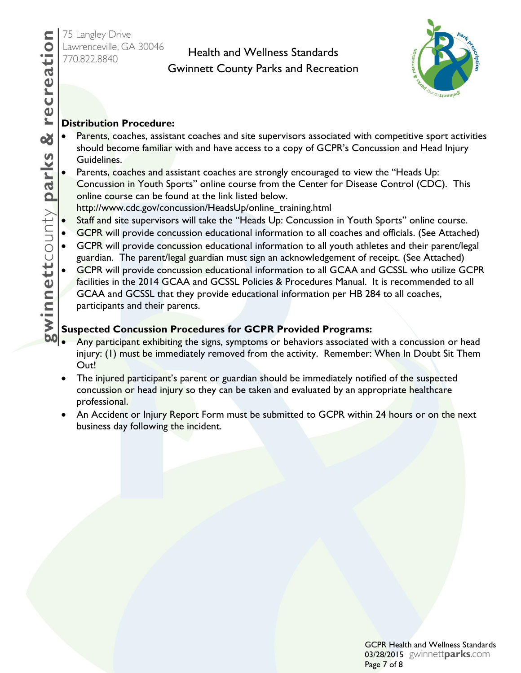## Health and Wellness Standards Gwinnett County Parks and Recreation



#### **Distribution Procedure:**

- Parents, coaches, assistant coaches and site supervisors associated with competitive sport activities should become familiar with and have access to a copy of GCPR's Concussion and Head Injury Guidelines.
- Parents, coaches and assistant coaches are strongly encouraged to view the "Heads Up: Concussion in Youth Sports" online course from the Center for Disease Control (CDC). This online course can be found at the link listed below.
- http://www.cdc.gov/concussion/HeadsUp/online\_training.html
- Staff and site supervisors will take the "Heads Up: Concussion in Youth Sports" online course.
- GCPR will provide concussion educational information to all coaches and officials. (See Attached)
- GCPR will provide concussion educational information to all youth athletes and their parent/legal guardian. The parent/legal guardian must sign an acknowledgement of receipt. (See Attached)
- GCPR will provide concussion educational information to all GCAA and GCSSL who utilize GCPR facilities in the 2014 GCAA and GCSSL Policies & Procedures Manual. It is recommended to all GCAA and GCSSL that they provide educational information per HB 284 to all coaches, participants and their parents.

### **Suspected Concussion Procedures for GCPR Provided Programs:**

- Any participant exhibiting the signs, symptoms or behaviors associated with a concussion or head injury: (1) must be immediately removed from the activity. Remember: When In Doubt Sit Them Out!
- The injured participant's parent or guardian should be immediately notified of the suspected concussion or head injury so they can be taken and evaluated by an appropriate healthcare professional.
- An Accident or Injury Report Form must be submitted to GCPR within 24 hours or on the next business day following the incident.